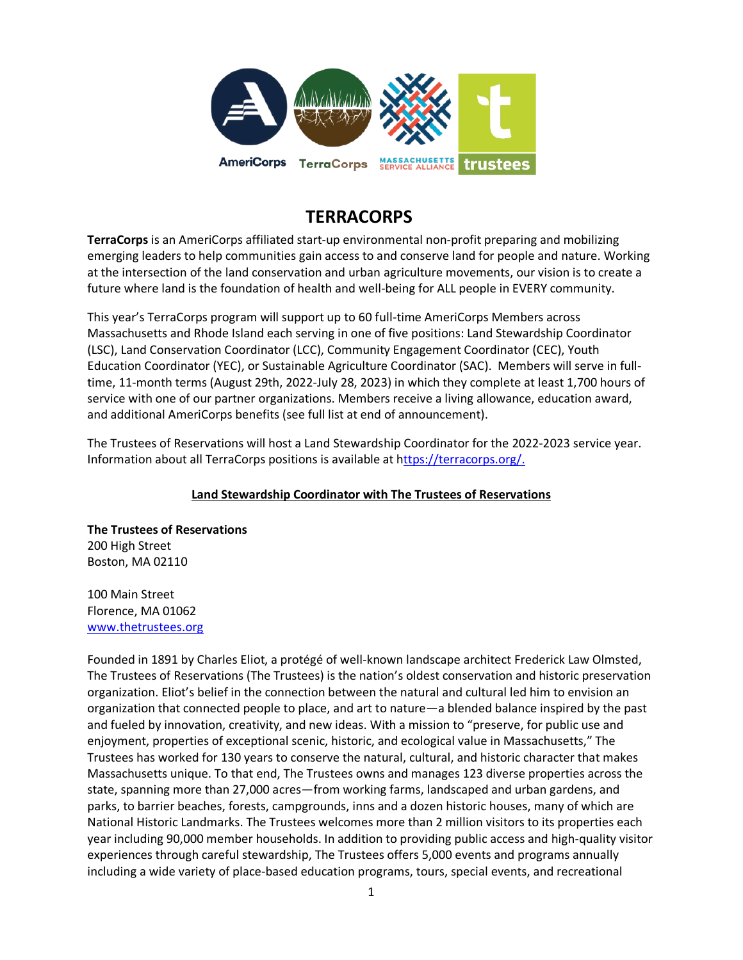

# **TERRACORPS**

**TerraCorps** is an AmeriCorps affiliated start-up environmental non-profit preparing and mobilizing emerging leaders to help communities gain access to and conserve land for people and nature. Working at the intersection of the land conservation and urban agriculture movements, our vision is to create a future where land is the foundation of health and well-being for ALL people in EVERY community.

This year's TerraCorps program will support up to 60 full-time AmeriCorps Members across Massachusetts and Rhode Island each serving in one of five positions: Land Stewardship Coordinator (LSC), Land Conservation Coordinator (LCC), Community Engagement Coordinator (CEC), Youth Education Coordinator (YEC), or Sustainable Agriculture Coordinator (SAC). Members will serve in fulltime, 11-month terms (August 29th, 2022-July 28, 2023) in which they complete at least 1,700 hours of service with one of our partner organizations. Members receive a living allowance, education award, and additional AmeriCorps benefits (see full list at end of announcement).

The Trustees of Reservations will host a Land Stewardship Coordinator for the 2022-2023 service year. Information about all TerraCorps positions is available at [https://terracorps.org/.](https://terracorps.org/)

## **Land Stewardship Coordinator with The Trustees of Reservations**

**The Trustees of Reservations** 200 High Street Boston, MA 02110

100 Main Street Florence, MA 01062 [www.thetrustees.org](http://www.thetrustees.org/)

Founded in 1891 by Charles Eliot, a protégé of well-known landscape architect Frederick Law Olmsted, The Trustees of Reservations (The Trustees) is the nation's oldest conservation and historic preservation organization. Eliot's belief in the connection between the natural and cultural led him to envision an organization that connected people to place, and art to nature—a blended balance inspired by the past and fueled by innovation, creativity, and new ideas. With a mission to "preserve, for public use and enjoyment, properties of exceptional scenic, historic, and ecological value in Massachusetts," The Trustees has worked for 130 years to conserve the natural, cultural, and historic character that makes Massachusetts unique. To that end, The Trustees owns and manages 123 diverse properties across the state, spanning more than 27,000 acres—from working farms, landscaped and urban gardens, and parks, to barrier beaches, forests, campgrounds, inns and a dozen historic houses, many of which are National Historic Landmarks. The Trustees welcomes more than 2 million visitors to its properties each year including 90,000 member households. In addition to providing public access and high-quality visitor experiences through careful stewardship, The Trustees offers 5,000 events and programs annually including a wide variety of place-based education programs, tours, special events, and recreational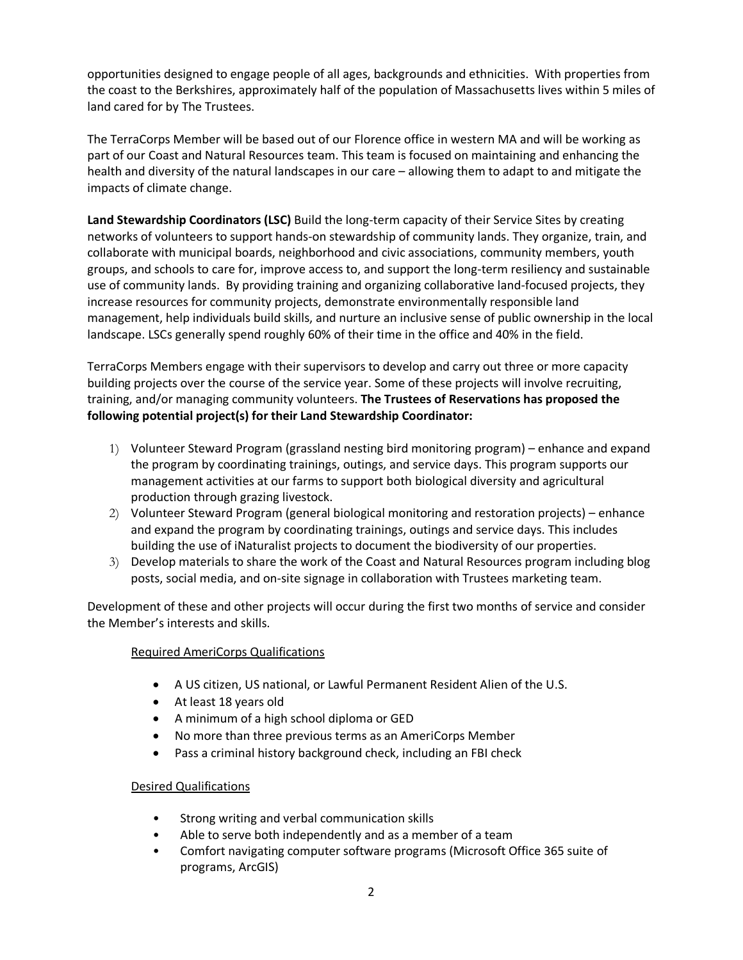opportunities designed to engage people of all ages, backgrounds and ethnicities. With properties from the coast to the Berkshires, approximately half of the population of Massachusetts lives within 5 miles of land cared for by The Trustees.

The TerraCorps Member will be based out of our Florence office in western MA and will be working as part of our Coast and Natural Resources team. This team is focused on maintaining and enhancing the health and diversity of the natural landscapes in our care – allowing them to adapt to and mitigate the impacts of climate change.

**Land Stewardship Coordinators (LSC)** Build the long-term capacity of their Service Sites by creating networks of volunteers to support hands-on stewardship of community lands. They organize, train, and collaborate with municipal boards, neighborhood and civic associations, community members, youth groups, and schools to care for, improve access to, and support the long-term resiliency and sustainable use of community lands. By providing training and organizing collaborative land-focused projects, they increase resources for community projects, demonstrate environmentally responsible land management, help individuals build skills, and nurture an inclusive sense of public ownership in the local landscape. LSCs generally spend roughly 60% of their time in the office and 40% in the field.

TerraCorps Members engage with their supervisors to develop and carry out three or more capacity building projects over the course of the service year. Some of these projects will involve recruiting, training, and/or managing community volunteers. **The Trustees of Reservations has proposed the following potential project(s) for their Land Stewardship Coordinator:**

- 1) Volunteer Steward Program (grassland nesting bird monitoring program) enhance and expand the program by coordinating trainings, outings, and service days. This program supports our management activities at our farms to support both biological diversity and agricultural production through grazing livestock.
- 2) Volunteer Steward Program (general biological monitoring and restoration projects) enhance and expand the program by coordinating trainings, outings and service days. This includes building the use of iNaturalist projects to document the biodiversity of our properties.
- 3) Develop materials to share the work of the Coast and Natural Resources program including blog posts, social media, and on-site signage in collaboration with Trustees marketing team.

Development of these and other projects will occur during the first two months of service and consider the Member's interests and skills.

## Required AmeriCorps Qualifications

- A US citizen, US national, or Lawful Permanent Resident Alien of the U.S.
- At least 18 years old
- A minimum of a high school diploma or GED
- No more than three previous terms as an AmeriCorps Member
- Pass a criminal history background check, including an FBI check

## Desired Qualifications

- Strong writing and verbal communication skills
- Able to serve both independently and as a member of a team
- Comfort navigating computer software programs (Microsoft Office 365 suite of programs, ArcGIS)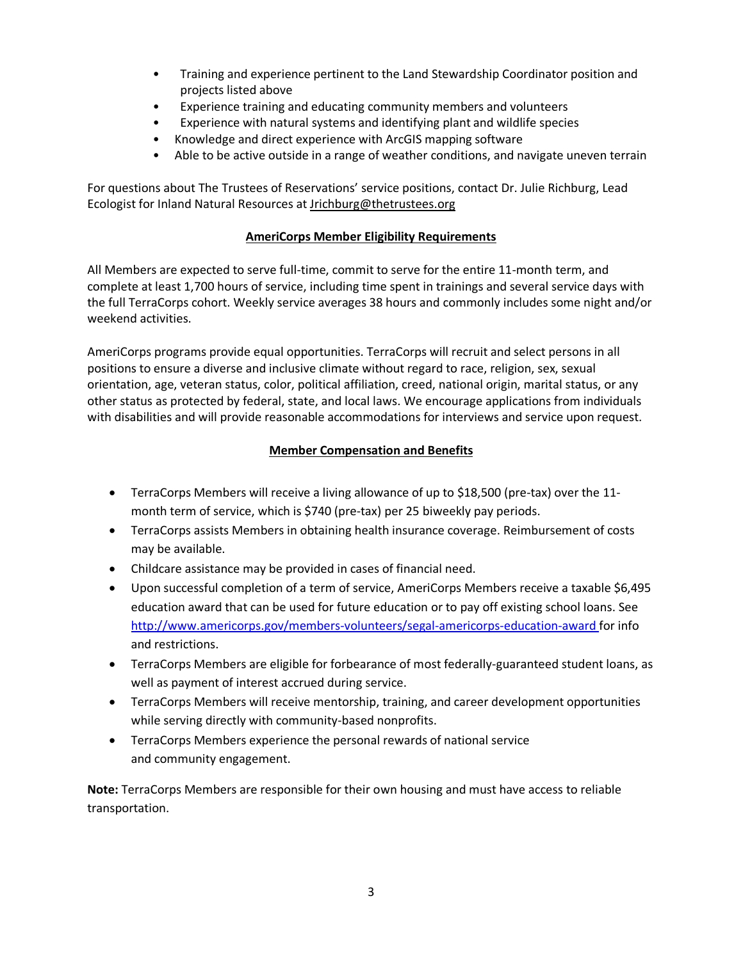- Training and experience pertinent to the Land Stewardship Coordinator position and projects listed above
- Experience training and educating community members and volunteers
- Experience with natural systems and identifying plant and wildlife species
- Knowledge and direct experience with ArcGIS mapping software
- Able to be active outside in a range of weather conditions, and navigate uneven terrain

For questions about The Trustees of Reservations' service positions, contact Dr. Julie Richburg, Lead Ecologist for Inland Natural Resources at [Jrichburg@thetrustees.org](mailto:Jrichburg@thetrustees.org)

## **AmeriCorps Member Eligibility Requirements**

All Members are expected to serve full-time, commit to serve for the entire 11-month term, and complete at least 1,700 hours of service, including time spent in trainings and several service days with the full TerraCorps cohort. Weekly service averages 38 hours and commonly includes some night and/or weekend activities.

AmeriCorps programs provide equal opportunities. TerraCorps will recruit and select persons in all positions to ensure a diverse and inclusive climate without regard to race, religion, sex, sexual orientation, age, veteran status, color, political affiliation, creed, national origin, marital status, or any other status as protected by federal, state, and local laws. We encourage applications from individuals with disabilities and will provide reasonable accommodations for interviews and service upon request.

## **Member Compensation and Benefits**

- TerraCorps Members will receive a living allowance of up to \$18,500 (pre-tax) over the 11 month term of service, which is \$740 (pre-tax) per 25 biweekly pay periods.
- TerraCorps assists Members in obtaining health insurance coverage. Reimbursement of costs may be available.
- Childcare assistance may be provided in cases of financial need.
- Upon successful completion of a term of service, AmeriCorps Members receive a taxable \$6,495 education award that can be used for future education or to pay off existing school loans. See <http://www.americorps.gov/members-volunteers/segal-americorps-education-award> for info and restrictions.
- TerraCorps Members are eligible for forbearance of most federally-guaranteed student loans, as well as payment of interest accrued during service.
- TerraCorps Members will receive mentorship, training, and career development opportunities while serving directly with community-based nonprofits.
- TerraCorps Members experience the personal rewards of national service and community engagement.

**Note:** TerraCorps Members are responsible for their own housing and must have access to reliable transportation.